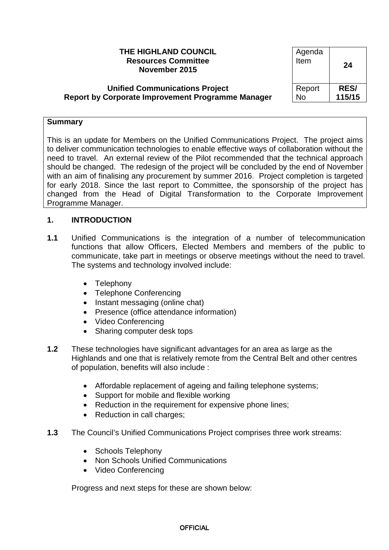| THE HIGHLAND COUNCIL<br><b>Resources Committee</b><br>November 2015 | Agenda<br>Item | 24          |
|---------------------------------------------------------------------|----------------|-------------|
| <b>Unified Communications Project</b>                               | Report         | <b>RES/</b> |
| <b>Report by Corporate Improvement Programme Manager</b>            | <b>No</b>      | 115/15      |

#### **Summary**

This is an update for Members on the Unified Communications Project. The project aims to deliver communication technologies to enable effective ways of collaboration without the need to travel. An external review of the Pilot recommended that the technical approach should be changed. The redesign of the project will be concluded by the end of November with an aim of finalising any procurement by summer 2016. Project completion is targeted for early 2018. Since the last report to Committee, the sponsorship of the project has changed from the Head of Digital Transformation to the Corporate Improvement Programme Manager.

## **1. INTRODUCTION**

- **1.1** Unified Communications is the integration of a number of telecommunication functions that allow Officers, Elected Members and members of the public to communicate, take part in meetings or observe meetings without the need to travel. The systems and technology involved include:
	- Telephony
	- Telephone Conferencing
	- Instant messaging (online chat)
	- Presence (office attendance information)
	- Video Conferencing
	- Sharing computer desk tops
- **1.2** These technologies have significant advantages for an area as large as the Highlands and one that is relatively remote from the Central Belt and other centres of population, benefits will also include :
	- Affordable replacement of ageing and failing telephone systems;
	- Support for mobile and flexible working
	- Reduction in the requirement for expensive phone lines:
	- Reduction in call charges;
- **1.3** The Council's Unified Communications Project comprises three work streams:
	- Schools Telephony
	- Non Schools Unified Communications
	- Video Conferencing

Progress and next steps for these are shown below: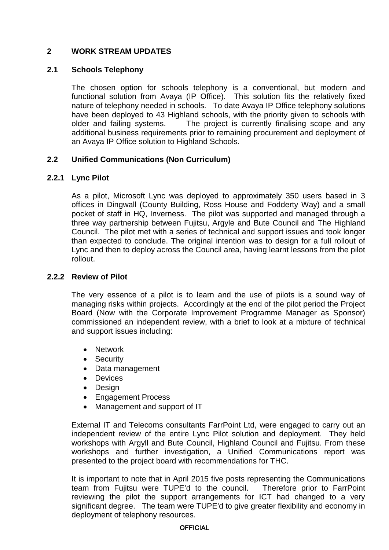# **2 WORK STREAM UPDATES**

#### **2.1 Schools Telephony**

The chosen option for schools telephony is a conventional, but modern and functional solution from Avaya (IP Office). This solution fits the relatively fixed nature of telephony needed in schools. To date Avaya IP Office telephony solutions have been deployed to 43 Highland schools, with the priority given to schools with older and failing systems. The project is currently finalising scope and any additional business requirements prior to remaining procurement and deployment of an Avaya IP Office solution to Highland Schools.

## **2.2 Unified Communications (Non Curriculum)**

#### **2.2.1 Lync Pilot**

As a pilot, Microsoft Lync was deployed to approximately 350 users based in 3 offices in Dingwall (County Building, Ross House and Fodderty Way) and a small pocket of staff in HQ, Inverness. The pilot was supported and managed through a three way partnership between Fujitsu, Argyle and Bute Council and The Highland Council. The pilot met with a series of technical and support issues and took longer than expected to conclude. The original intention was to design for a full rollout of Lync and then to deploy across the Council area, having learnt lessons from the pilot rollout.

#### **2.2.2 Review of Pilot**

The very essence of a pilot is to learn and the use of pilots is a sound way of managing risks within projects. Accordingly at the end of the pilot period the Project Board (Now with the Corporate Improvement Programme Manager as Sponsor) commissioned an independent review, with a brief to look at a mixture of technical and support issues including:

- Network
- Security
- Data management
- Devices
- Design
- Engagement Process
- Management and support of IT

External IT and Telecoms consultants FarrPoint Ltd, were engaged to carry out an independent review of the entire Lync Pilot solution and deployment. They held workshops with Argyll and Bute Council, Highland Council and Fujitsu. From these workshops and further investigation, a Unified Communications report was presented to the project board with recommendations for THC.

It is important to note that in April 2015 five posts representing the Communications team from Fujitsu were TUPE'd to the council. Therefore prior to FarrPoint reviewing the pilot the support arrangements for ICT had changed to a very significant degree. The team were TUPE'd to give greater flexibility and economy in deployment of telephony resources.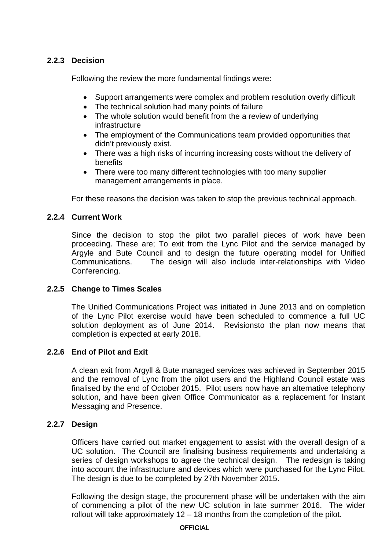# **2.2.3 Decision**

Following the review the more fundamental findings were:

- Support arrangements were complex and problem resolution overly difficult
- The technical solution had many points of failure
- The whole solution would benefit from the a review of underlying infrastructure
- The employment of the Communications team provided opportunities that didn't previously exist.
- There was a high risks of incurring increasing costs without the delivery of benefits
- There were too many different technologies with too many supplier management arrangements in place.

For these reasons the decision was taken to stop the previous technical approach.

## **2.2.4 Current Work**

Since the decision to stop the pilot two parallel pieces of work have been proceeding. These are; To exit from the Lync Pilot and the service managed by Argyle and Bute Council and to design the future operating model for Unified Communications. The design will also include inter-relationships with Video Conferencing.

## **2.2.5 Change to Times Scales**

The Unified Communications Project was initiated in June 2013 and on completion of the Lync Pilot exercise would have been scheduled to commence a full UC solution deployment as of June 2014. Revisionsto the plan now means that completion is expected at early 2018.

## **2.2.6 End of Pilot and Exit**

A clean exit from Argyll & Bute managed services was achieved in September 2015 and the removal of Lync from the pilot users and the Highland Council estate was finalised by the end of October 2015. Pilot users now have an alternative telephony solution, and have been given Office Communicator as a replacement for Instant Messaging and Presence.

## **2.2.7 Design**

Officers have carried out market engagement to assist with the overall design of a UC solution. The Council are finalising business requirements and undertaking a series of design workshops to agree the technical design. The redesign is taking into account the infrastructure and devices which were purchased for the Lync Pilot. The design is due to be completed by 27th November 2015.

Following the design stage, the procurement phase will be undertaken with the aim of commencing a pilot of the new UC solution in late summer 2016. The wider rollout will take approximately 12 – 18 months from the completion of the pilot.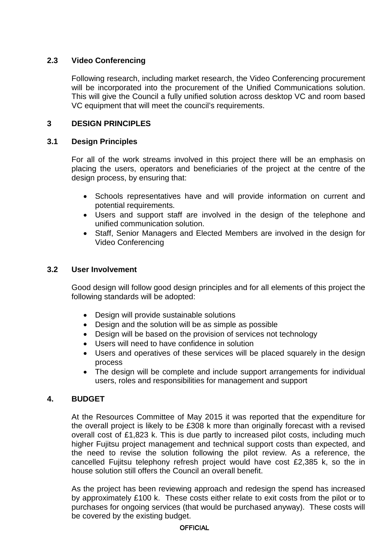# **2.3 Video Conferencing**

Following research, including market research, the Video Conferencing procurement will be incorporated into the procurement of the Unified Communications solution. This will give the Council a fully unified solution across desktop VC and room based VC equipment that will meet the council's requirements.

# **3 DESIGN PRINCIPLES**

## **3.1 Design Principles**

For all of the work streams involved in this project there will be an emphasis on placing the users, operators and beneficiaries of the project at the centre of the design process, by ensuring that:

- Schools representatives have and will provide information on current and potential requirements.
- Users and support staff are involved in the design of the telephone and unified communication solution.
- Staff, Senior Managers and Elected Members are involved in the design for Video Conferencing

#### **3.2 User Involvement**

Good design will follow good design principles and for all elements of this project the following standards will be adopted:

- Design will provide sustainable solutions
- Design and the solution will be as simple as possible
- Design will be based on the provision of services not technology
- Users will need to have confidence in solution
- Users and operatives of these services will be placed squarely in the design process
- The design will be complete and include support arrangements for individual users, roles and responsibilities for management and support

## **4. BUDGET**

At the Resources Committee of May 2015 it was reported that the expenditure for the overall project is likely to be £308 k more than originally forecast with a revised overall cost of £1,823 k. This is due partly to increased pilot costs, including much higher Fujitsu project management and technical support costs than expected, and the need to revise the solution following the pilot review. As a reference, the cancelled Fujitsu telephony refresh project would have cost £2,385 k, so the in house solution still offers the Council an overall benefit.

As the project has been reviewing approach and redesign the spend has increased by approximately £100 k. These costs either relate to exit costs from the pilot or to purchases for ongoing services (that would be purchased anyway). These costs will be covered by the existing budget.